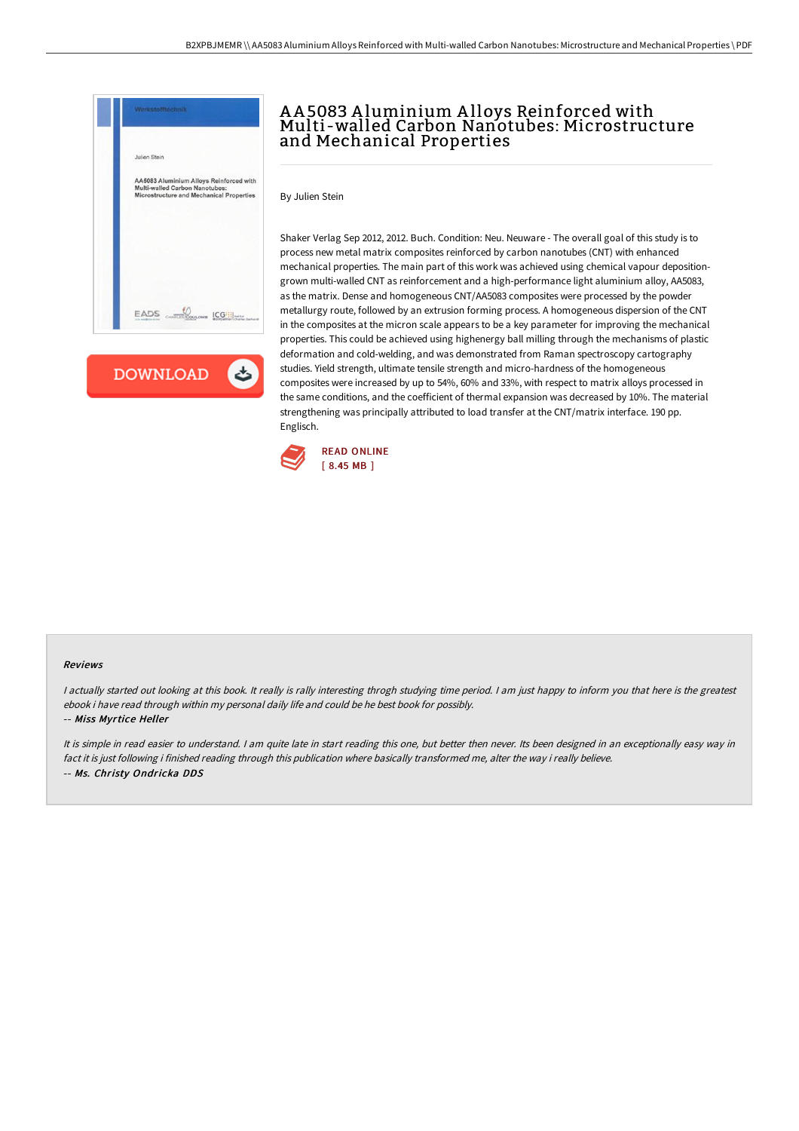

**DOWNLOAD**  $\rightarrow$ 

## A A 5083 A luminium A lloys Reinforced with Multi-walled Carbon Nanotubes: Microstructure and Mechanical Properties

By Julien Stein

Shaker Verlag Sep 2012, 2012. Buch. Condition: Neu. Neuware - The overall goal of this study is to process new metal matrix composites reinforced by carbon nanotubes (CNT) with enhanced mechanical properties. The main part of this work was achieved using chemical vapour depositiongrown multi-walled CNT as reinforcement and a high-performance light aluminium alloy, AA5083, as the matrix. Dense and homogeneous CNT/AA5083 composites were processed by the powder metallurgy route, followed by an extrusion forming process. A homogeneous dispersion of the CNT in the composites at the micron scale appears to be a key parameter for improving the mechanical properties. This could be achieved using highenergy ball milling through the mechanisms of plastic deformation and cold-welding, and was demonstrated from Raman spectroscopy cartography studies. Yield strength, ultimate tensile strength and micro-hardness of the homogeneous composites were increased by up to 54%, 60% and 33%, with respect to matrix alloys processed in the same conditions, and the coefficient of thermal expansion was decreased by 10%. The material strengthening was principally attributed to load transfer at the CNT/matrix interface. 190 pp. Englisch.



## Reviews

I actually started out looking at this book. It really is rally interesting throgh studying time period. I am just happy to inform you that here is the greatest ebook i have read through within my personal daily life and could be he best book for possibly.

## -- Miss Myrtice Heller

It is simple in read easier to understand. I am quite late in start reading this one, but better then never. Its been designed in an exceptionally easy way in fact it is just following i finished reading through this publication where basically transformed me, alter the way i really believe. -- Ms. Christy Ondricka DDS